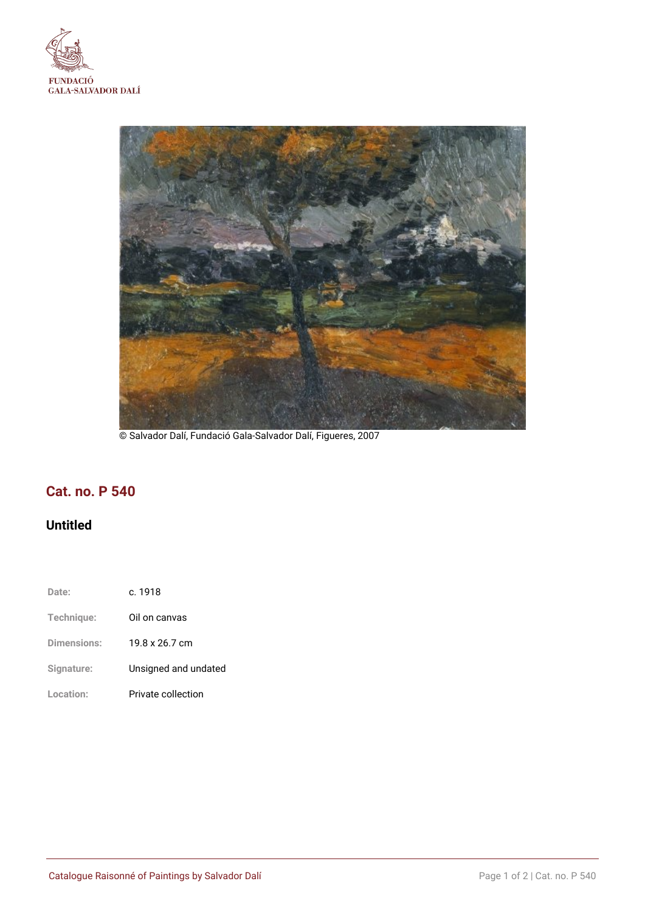



© Salvador Dalí, Fundació Gala-Salvador Dalí, Figueres, 2007

# **Cat. no. P 540**

## **Untitled**

- **Date:** c. 1918
- **Technique:** Oil on canvas
- **Dimensions:** 19.8 x 26.7 cm
- **Signature:** Unsigned and undated
- **Location:** Private collection